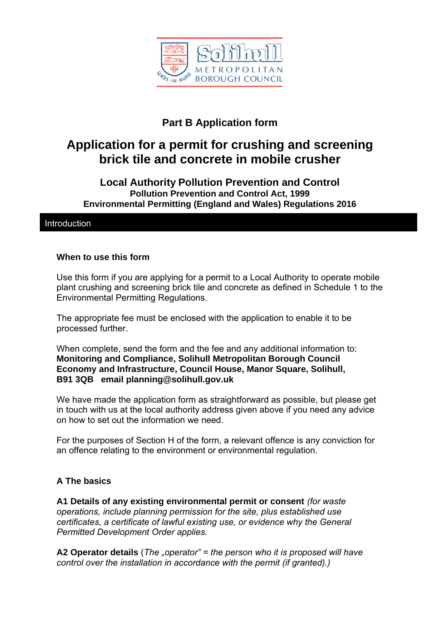

# **Part B Application form**

# **Application for a permit for crushing and screening brick tile and concrete in mobile crusher**

#### **Local Authority Pollution Prevention and Control Pollution Prevention and Control Act, 1999 Environmental Permitting (England and Wales) Regulations 2016**

#### **Introduction**

#### **When to use this form**

Use this form if you are applying for a permit to a Local Authority to operate mobile plant crushing and screening brick tile and concrete as defined in Schedule 1 to the Environmental Permitting Regulations.

The appropriate fee must be enclosed with the application to enable it to be processed further.

When complete, send the form and the fee and any additional information to: **Monitoring and Compliance, Solihull Metropolitan Borough Council Economy and Infrastructure, Council House, Manor Square, Solihull, B91 3QB email planning@solihull.gov.uk**

We have made the application form as straightforward as possible, but please get in touch with us at the local authority address given above if you need any advice on how to set out the information we need.

For the purposes of Section H of the form, a relevant offence is any conviction for an offence relating to the environment or environmental regulation.

#### **A The basics**

**A1 Details of any existing environmental permit or consent** *(for waste operations, include planning permission for the site, plus established use certificates, a certificate of lawful existing use, or evidence why the General Permitted Development Order applies.*

**A2 Operator details** (*The "operator" = the person who it is proposed will have control over the installation in accordance with the permit (if granted).)*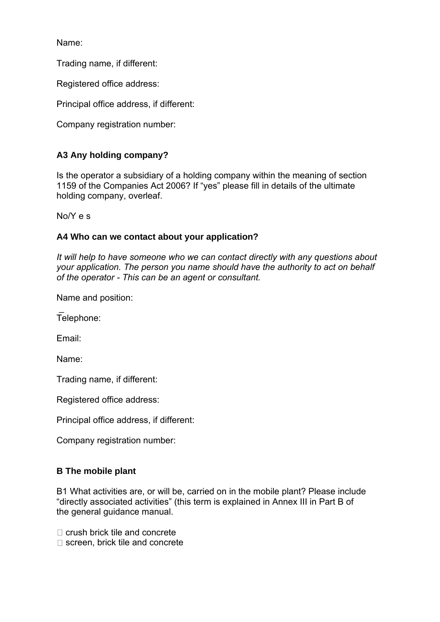Name:

Trading name, if different:

Registered office address:

Principal office address, if different:

Company registration number:

# **A3 Any holding company?**

Is the operator a subsidiary of a holding company within the meaning of section 1159 of the Companies Act 2006? If "yes" please fill in details of the ultimate holding company, overleaf.

No/Y e s

#### **A4 Who can we contact about your application?**

*It will help to have someone who we can contact directly with any questions about your application. The person you name should have the authority to act on behalf of the operator - This can be an agent or consultant.*

Name and position:

 $\overline{a}$ Telephone:

Email:

Name:

Trading name, if different:

Registered office address:

Principal office address, if different:

Company registration number:

#### **B The mobile plant**

B1 What activities are, or will be, carried on in the mobile plant? Please include "directly associated activities" (this term is explained in Annex III in Part B of the general guidance manual.

 $\Box$  crush brick tile and concrete

□ screen, brick tile and concrete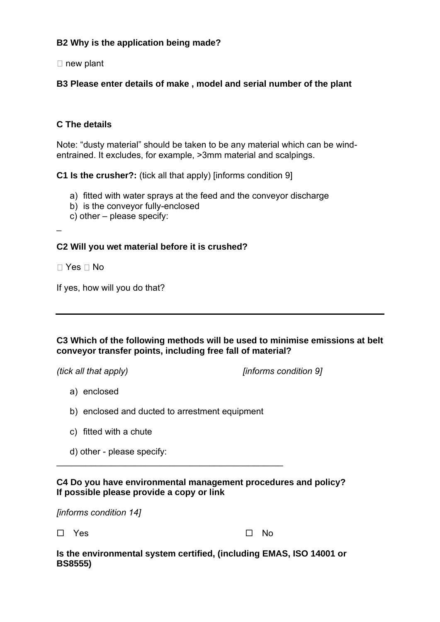# **B2 Why is the application being made?**

 $\Box$  new plant

# **B3 Please enter details of make , model and serial number of the plant**

# **C The details**

Note: "dusty material" should be taken to be any material which can be windentrained. It excludes, for example, >3mm material and scalpings.

**C1 Is the crusher?:** (tick all that apply) [informs condition 9]

- a) fitted with water sprays at the feed and the conveyor discharge
- b) is the conveyor fully-enclosed
- c) other please specify:

 $\overline{a}$ 

#### **C2 Will you wet material before it is crushed?**

 $\Box$  Yes  $\Box$  No

If yes, how will you do that?

#### **C3 Which of the following methods will be used to minimise emissions at belt conveyor transfer points, including free fall of material?**

*(tick all that apply) [informs condition 9]*

- a) enclosed
- b) enclosed and ducted to arrestment equipment

\_\_\_\_\_\_\_\_\_\_\_\_\_\_\_\_\_\_\_\_\_\_\_\_\_\_\_\_\_\_\_\_\_\_\_\_\_\_\_\_\_\_\_\_\_\_

- c) fitted with a chute
- d) other please specify:

#### **C4 Do you have environmental management procedures and policy? If possible please provide a copy or link**

*[informs condition 14]*

 $\square$  Yes  $\square$  No

**Is the environmental system certified, (including EMAS, ISO 14001 or BS8555)**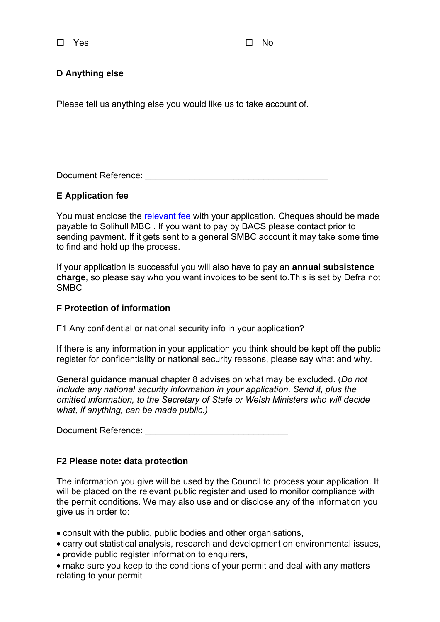$\square$  Yes  $\square$  No

# **D Anything else**

Please tell us anything else you would like us to take account of.

Document Reference: \_\_\_\_\_\_\_\_\_\_\_\_\_\_\_\_\_\_\_\_\_\_\_\_\_\_\_\_\_\_\_\_\_\_\_\_\_

#### **E Application fee**

You must enclose the relevant fee with your application. Cheques should be made payable to Solihull MBC . If you want to pay by BACS please contact prior to sending payment. If it gets sent to a general SMBC account it may take some time to find and hold up the process.

If your application is successful you will also have to pay an **annual subsistence charge**, so please say who you want invoices to be sent to.This is set by Defra not SMBC

#### **F Protection of information**

F1 Any confidential or national security info in your application?

If there is any information in your application you think should be kept off the public register for confidentiality or national security reasons, please say what and why.

General guidance manual chapter 8 advises on what may be excluded. (*Do not include any national security information in your application. Send it, plus the omitted information, to the Secretary of State or Welsh Ministers who will decide what, if anything, can be made public.)*

Document Reference: \_\_\_\_\_\_\_\_\_\_\_\_\_\_\_\_\_\_\_\_\_\_\_\_\_\_\_\_\_

#### **F2 Please note: data protection**

The information you give will be used by the Council to process your application. It will be placed on the relevant public register and used to monitor compliance with the permit conditions. We may also use and or disclose any of the information you give us in order to:

• consult with the public, public bodies and other organisations,

• carry out statistical analysis, research and development on environmental issues,

• provide public register information to enquirers,

• make sure you keep to the conditions of your permit and deal with any matters relating to your permit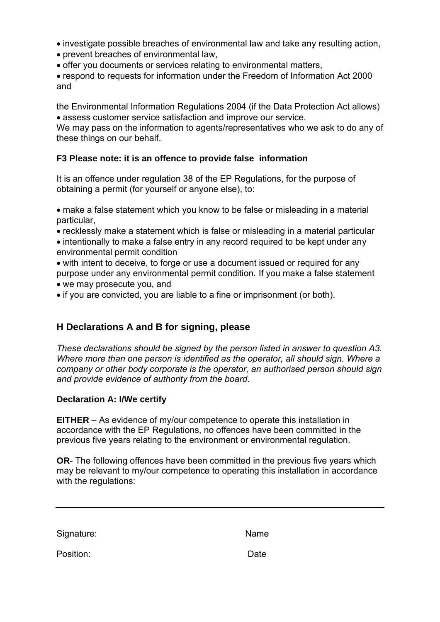- investigate possible breaches of environmental law and take any resulting action,
- prevent breaches of environmental law,
- offer you documents or services relating to environmental matters,

• respond to requests for information under the Freedom of Information Act 2000 and

the Environmental Information Regulations 2004 (if the Data Protection Act allows) • assess customer service satisfaction and improve our service.

We may pass on the information to agents/representatives who we ask to do any of these things on our behalf.

# **F3 Please note: it is an offence to provide false information**

It is an offence under regulation 38 of the EP Regulations, for the purpose of obtaining a permit (for yourself or anyone else), to:

• make a false statement which you know to be false or misleading in a material particular,

• recklessly make a statement which is false or misleading in a material particular

• intentionally to make a false entry in any record required to be kept under any environmental permit condition

• with intent to deceive, to forge or use a document issued or required for any purpose under any environmental permit condition. If you make a false statement • we may prosecute you, and

• if you are convicted, you are liable to a fine or imprisonment (or both).

# **H Declarations A and B for signing, please**

*These declarations should be signed by the person listed in answer to question A3. Where more than one person is identified as the operator, all should sign. Where a company or other body corporate is the operator, an authorised person should sign and provide evidence of authority from the board.*

#### **Declaration A: I/We certify**

**EITHER** – As evidence of my/our competence to operate this installation in accordance with the EP Regulations, no offences have been committed in the previous five years relating to the environment or environmental regulation.

**OR**- The following offences have been committed in the previous five years which may be relevant to my/our competence to operating this installation in accordance with the regulations:

Signature: Name

Position: Date